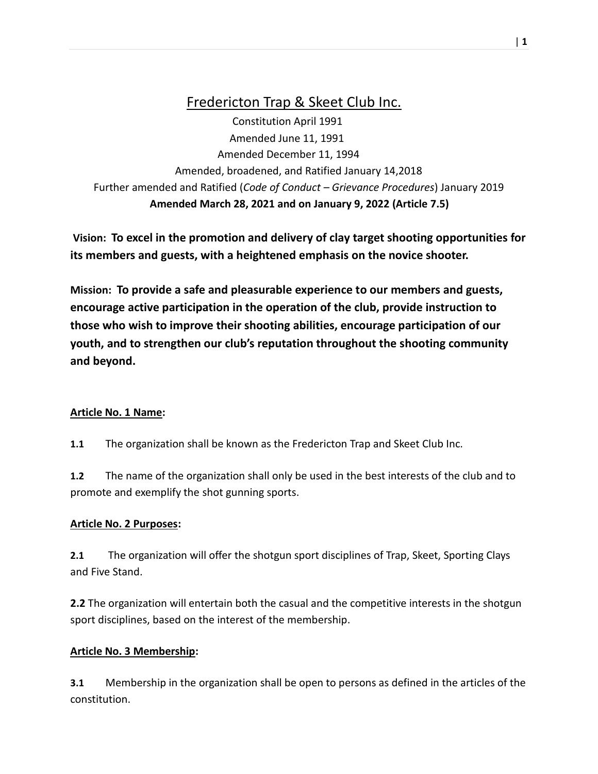# Fredericton Trap & Skeet Club Inc.

 Constitution April 1991 Amended June 11, 1991 Amended December 11, 1994 Amended, broadened, and Ratified January 14,2018 Further amended and Ratified (*Code of Conduct – Grievance Procedures*) January 2019  **Amended March 28, 2021 and on January 9, 2022 (Article 7.5)**

**Vision: To excel in the promotion and delivery of clay target shooting opportunities for its members and guests, with a heightened emphasis on the novice shooter.**

**Mission: To provide a safe and pleasurable experience to our members and guests, encourage active participation in the operation of the club, provide instruction to those who wish to improve their shooting abilities, encourage participation of our youth, and to strengthen our club's reputation throughout the shooting community and beyond.**

### **Article No. 1 Name:**

**1.1** The organization shall be known as the Fredericton Trap and Skeet Club Inc.

**1.2** The name of the organization shall only be used in the best interests of the club and to promote and exemplify the shot gunning sports.

#### **Article No. 2 Purposes:**

**2.1** The organization will offer the shotgun sport disciplines of Trap, Skeet, Sporting Clays and Five Stand.

**2.2** The organization will entertain both the casual and the competitive interests in the shotgun sport disciplines, based on the interest of the membership.

### **Article No. 3 Membership:**

**3.1** Membership in the organization shall be open to persons as defined in the articles of the constitution.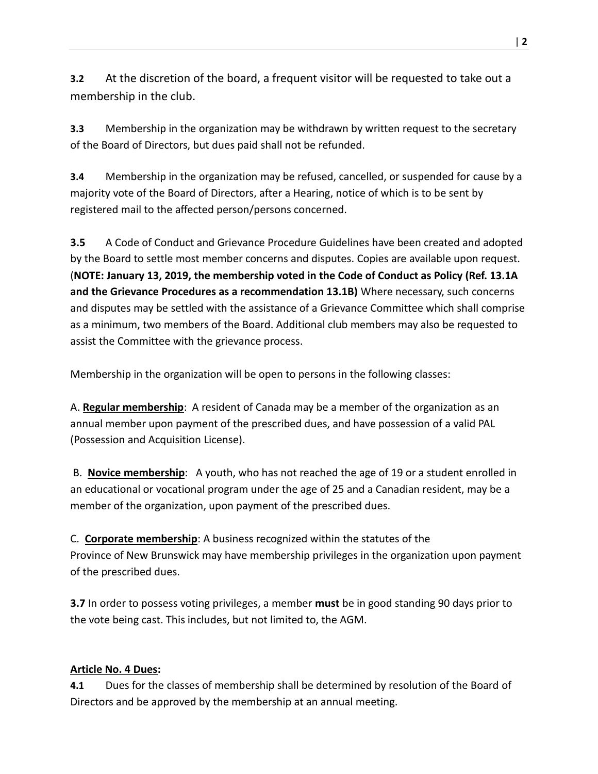**3.2** At the discretion of the board, a frequent visitor will be requested to take out a membership in the club.

**3.3** Membership in the organization may be withdrawn by written request to the secretary of the Board of Directors, but dues paid shall not be refunded.

**3.4** Membership in the organization may be refused, cancelled, or suspended for cause by a majority vote of the Board of Directors, after a Hearing, notice of which is to be sent by registered mail to the affected person/persons concerned.

**3.5** A Code of Conduct and Grievance Procedure Guidelines have been created and adopted by the Board to settle most member concerns and disputes. Copies are available upon request. (**NOTE: January 13, 2019, the membership voted in the Code of Conduct as Policy (Ref. 13.1A and the Grievance Procedures as a recommendation 13.1B)** Where necessary, such concerns and disputes may be settled with the assistance of a Grievance Committee which shall comprise as a minimum, two members of the Board. Additional club members may also be requested to assist the Committee with the grievance process.

Membership in the organization will be open to persons in the following classes:

A. **Regular membership**: A resident of Canada may be a member of the organization as an annual member upon payment of the prescribed dues, and have possession of a valid PAL (Possession and Acquisition License).

B. **Novice membership**: A youth, who has not reached the age of 19 or a student enrolled in an educational or vocational program under the age of 25 and a Canadian resident, may be a member of the organization, upon payment of the prescribed dues.

C. **Corporate membership**: A business recognized within the statutes of the Province of New Brunswick may have membership privileges in the organization upon payment of the prescribed dues.

**3.7** In order to possess voting privileges, a member **must** be in good standing 90 days prior to the vote being cast. This includes, but not limited to, the AGM.

### **Article No. 4 Dues:**

**4.1** Dues for the classes of membership shall be determined by resolution of the Board of Directors and be approved by the membership at an annual meeting.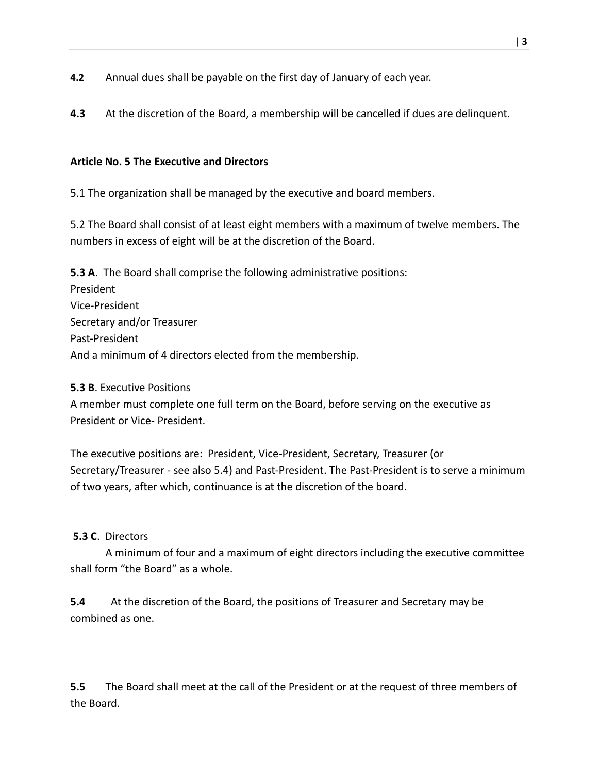- **4.2** Annual dues shall be payable on the first day of January of each year.
- **4.3** At the discretion of the Board, a membership will be cancelled if dues are delinquent.

#### **Article No. 5 The Executive and Directors**

5.1 The organization shall be managed by the executive and board members.

5.2 The Board shall consist of at least eight members with a maximum of twelve members. The numbers in excess of eight will be at the discretion of the Board.

**5.3 A**. The Board shall comprise the following administrative positions: President Vice-President Secretary and/or Treasurer Past-President And a minimum of 4 directors elected from the membership.

#### **5.3 B**. Executive Positions

A member must complete one full term on the Board, before serving on the executive as President or Vice- President.

The executive positions are: President, Vice-President, Secretary, Treasurer (or Secretary/Treasurer - see also 5.4) and Past-President. The Past-President is to serve a minimum of two years, after which, continuance is at the discretion of the board.

#### **5.3 C**. Directors

A minimum of four and a maximum of eight directors including the executive committee shall form "the Board" as a whole.

**5.4** At the discretion of the Board, the positions of Treasurer and Secretary may be combined as one.

**5.5** The Board shall meet at the call of the President or at the request of three members of the Board.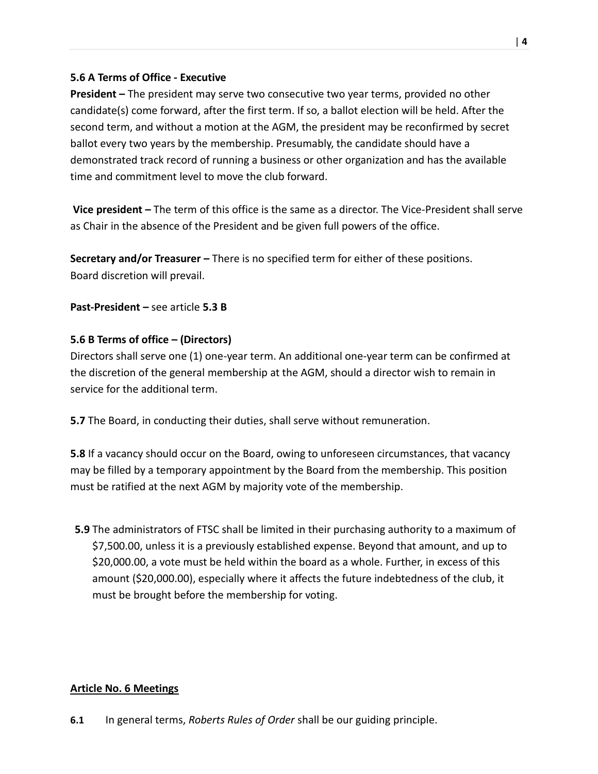### **5.6 A Terms of Office - Executive**

**President –** The president may serve two consecutive two year terms, provided no other candidate(s) come forward, after the first term. If so, a ballot election will be held. After the second term, and without a motion at the AGM, the president may be reconfirmed by secret ballot every two years by the membership. Presumably, the candidate should have a demonstrated track record of running a business or other organization and has the available time and commitment level to move the club forward.

**Vice president –** The term of this office is the same as a director. The Vice-President shall serve as Chair in the absence of the President and be given full powers of the office.

**Secretary and/or Treasurer –** There is no specified term for either of these positions. Board discretion will prevail.

**Past-President –** see article **5.3 B**

### **5.6 B Terms of office – (Directors)**

Directors shall serve one (1) one-year term. An additional one-year term can be confirmed at the discretion of the general membership at the AGM, should a director wish to remain in service for the additional term.

**5.7** The Board, in conducting their duties, shall serve without remuneration.

**5.8** If a vacancy should occur on the Board, owing to unforeseen circumstances, that vacancy may be filled by a temporary appointment by the Board from the membership. This position must be ratified at the next AGM by majority vote of the membership.

**5.9** The administrators of FTSC shall be limited in their purchasing authority to a maximum of \$7,500.00, unless it is a previously established expense. Beyond that amount, and up to \$20,000.00, a vote must be held within the board as a whole. Further, in excess of this amount (\$20,000.00), especially where it affects the future indebtedness of the club, it must be brought before the membership for voting.

#### **Article No. 6 Meetings**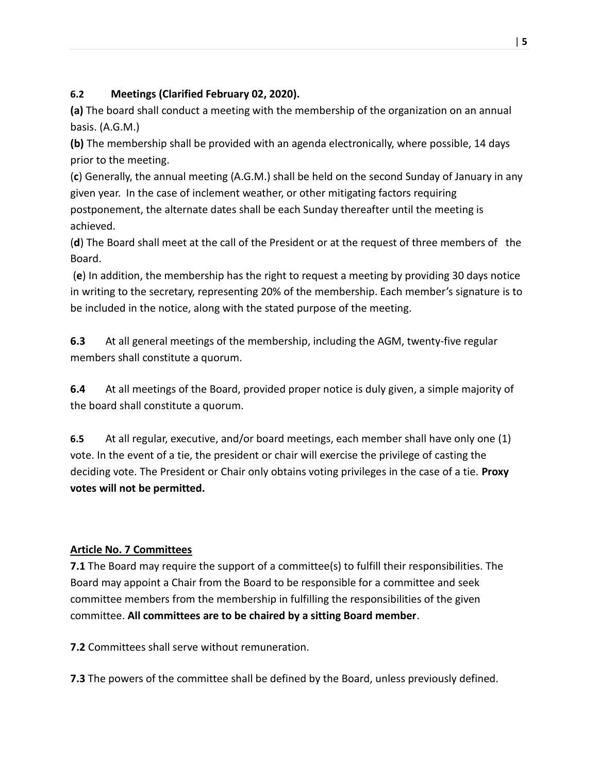### **6.2 Meetings (Clarified February 02, 2020).**

**(a)** The board shall conduct a meeting with the membership of the organization on an annual basis. (A.G.M.)

**(b)** The membership shall be provided with an agenda electronically, where possible, 14 days prior to the meeting.

(**c**) Generally, the annual meeting (A.G.M.) shall be held on the second Sunday of January in any given year. In the case of inclement weather, or other mitigating factors requiring postponement, the alternate dates shall be each Sunday thereafter until the meeting is achieved.

(**d**) The Board shall meet at the call of the President or at the request of three members of the Board.

(**e**) In addition, the membership has the right to request a meeting by providing 30 days notice in writing to the secretary, representing 20% of the membership. Each member's signature is to be included in the notice, along with the stated purpose of the meeting.

**6.3** At all general meetings of the membership, including the AGM, twenty-five regular members shall constitute a quorum.

**6.4** At all meetings of the Board, provided proper notice is duly given, a simple majority of the board shall constitute a quorum.

**6.5** At all regular, executive, and/or board meetings, each member shall have only one (1) vote. In the event of a tie, the president or chair will exercise the privilege of casting the deciding vote. The President or Chair only obtains voting privileges in the case of a tie. **Proxy votes will not be permitted.**

### **Article No. 7 Committees**

**7.1** The Board may require the support of a committee(s) to fulfill their responsibilities. The Board may appoint a Chair from the Board to be responsible for a committee and seek committee members from the membership in fulfilling the responsibilities of the given committee. **All committees are to be chaired by a sitting Board member**.

**7.2** Committees shall serve without remuneration.

**7.3** The powers of the committee shall be defined by the Board, unless previously defined.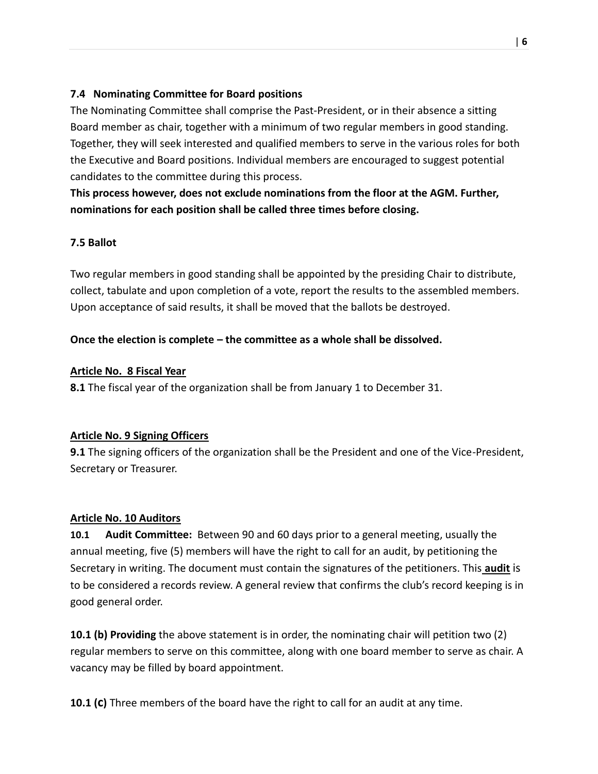### **7.4 Nominating Committee for Board positions**

The Nominating Committee shall comprise the Past-President, or in their absence a sitting Board member as chair, together with a minimum of two regular members in good standing. Together, they will seek interested and qualified members to serve in the various roles for both the Executive and Board positions. Individual members are encouraged to suggest potential candidates to the committee during this process.

**This process however, does not exclude nominations from the floor at the AGM. Further, nominations for each position shall be called three times before closing.**

### **7.5 Ballot**

Two regular members in good standing shall be appointed by the presiding Chair to distribute, collect, tabulate and upon completion of a vote, report the results to the assembled members. Upon acceptance of said results, it shall be moved that the ballots be destroyed.

### **Once the election is complete – the committee as a whole shall be dissolved.**

### **Article No. 8 Fiscal Year**

**8.1** The fiscal year of the organization shall be from January 1 to December 31.

### **Article No. 9 Signing Officers**

**9.1** The signing officers of the organization shall be the President and one of the Vice-President, Secretary or Treasurer.

### **Article No. 10 Auditors**

**10.1 Audit Committee:** Between 90 and 60 days prior to a general meeting, usually the annual meeting, five (5) members will have the right to call for an audit, by petitioning the Secretary in writing. The document must contain the signatures of the petitioners. This **audit** is to be considered a records review. A general review that confirms the club's record keeping is in good general order.

**10.1 (b) Providing** the above statement is in order, the nominating chair will petition two (2) regular members to serve on this committee, along with one board member to serve as chair. A vacancy may be filled by board appointment.

**10.1 (c)** Three members of the board have the right to call for an audit at any time.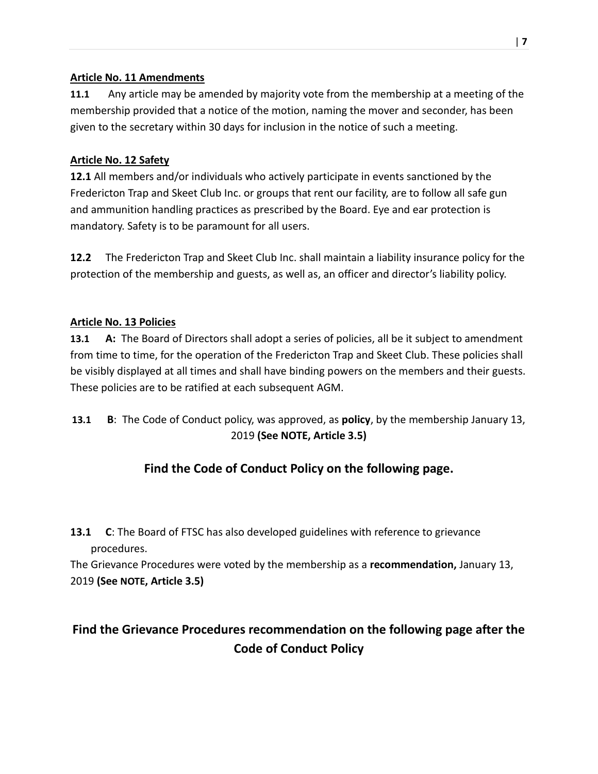### **Article No. 11 Amendments**

**11.1** Any article may be amended by majority vote from the membership at a meeting of the membership provided that a notice of the motion, naming the mover and seconder, has been given to the secretary within 30 days for inclusion in the notice of such a meeting.

### **Article No. 12 Safety**

**12.1** All members and/or individuals who actively participate in events sanctioned by the Fredericton Trap and Skeet Club Inc. or groups that rent our facility, are to follow all safe gun and ammunition handling practices as prescribed by the Board. Eye and ear protection is mandatory. Safety is to be paramount for all users.

**12.2** The Fredericton Trap and Skeet Club Inc. shall maintain a liability insurance policy for the protection of the membership and guests, as well as, an officer and director's liability policy.

### **Article No. 13 Policies**

**13.1 A:** The Board of Directors shall adopt a series of policies, all be it subject to amendment from time to time, for the operation of the Fredericton Trap and Skeet Club. These policies shall be visibly displayed at all times and shall have binding powers on the members and their guests. These policies are to be ratified at each subsequent AGM.

**13.1 B**: The Code of Conduct policy, was approved, as **policy**, by the membership January 13, 2019 **(See NOTE, Article 3.5)**

# **Find the Code of Conduct Policy on the following page.**

**13.1 C**: The Board of FTSC has also developed guidelines with reference to grievance procedures.

The Grievance Procedures were voted by the membership as a **recommendation,** January 13, 2019 **(See NOTE, Article 3.5)**

# **Find the Grievance Procedures recommendation on the following page after the Code of Conduct Policy**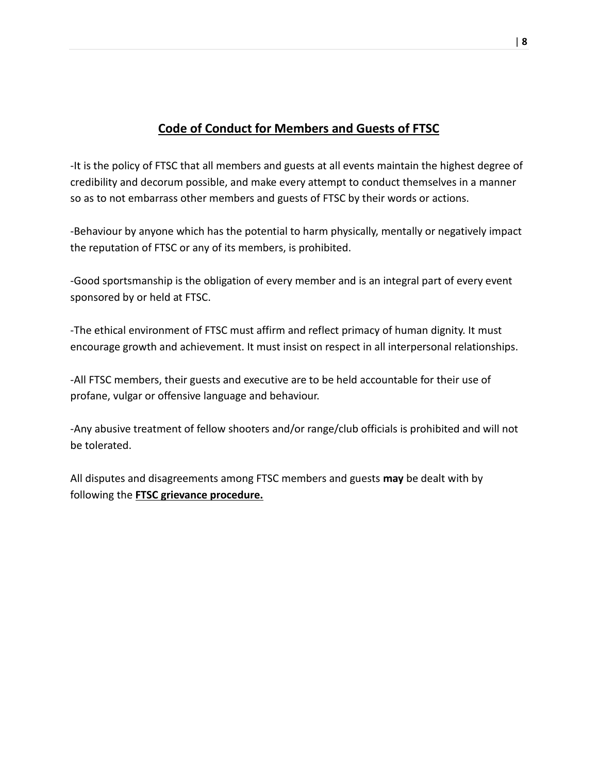# **Code of Conduct for Members and Guests of FTSC**

-It is the policy of FTSC that all members and guests at all events maintain the highest degree of credibility and decorum possible, and make every attempt to conduct themselves in a manner so as to not embarrass other members and guests of FTSC by their words or actions.

-Behaviour by anyone which has the potential to harm physically, mentally or negatively impact the reputation of FTSC or any of its members, is prohibited.

-Good sportsmanship is the obligation of every member and is an integral part of every event sponsored by or held at FTSC.

-The ethical environment of FTSC must affirm and reflect primacy of human dignity. It must encourage growth and achievement. It must insist on respect in all interpersonal relationships.

-All FTSC members, their guests and executive are to be held accountable for their use of profane, vulgar or offensive language and behaviour.

-Any abusive treatment of fellow shooters and/or range/club officials is prohibited and will not be tolerated.

All disputes and disagreements among FTSC members and guests **may** be dealt with by following the **FTSC grievance procedure.**